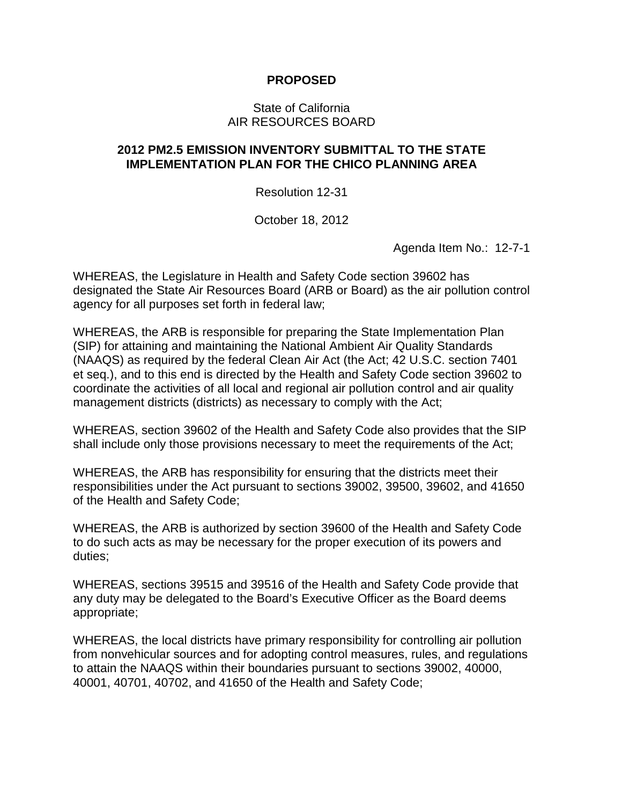## **PROPOSED**

## State of California AIR RESOURCES BOARD

## **2012 PM2.5 EMISSION INVENTORY SUBMITTAL TO THE STATE IMPLEMENTATION PLAN FOR THE CHICO PLANNING AREA**

Resolution 12-31

October 18, 2012

Agenda Item No.: 12-7-1

WHEREAS, the Legislature in Health and Safety Code section 39602 has designated the State Air Resources Board (ARB or Board) as the air pollution control agency for all purposes set forth in federal law;

WHEREAS, the ARB is responsible for preparing the State Implementation Plan (SIP) for attaining and maintaining the National Ambient Air Quality Standards (NAAQS) as required by the federal Clean Air Act (the Act; 42 U.S.C. section 7401 et seq.), and to this end is directed by the Health and Safety Code section 39602 to coordinate the activities of all local and regional air pollution control and air quality management districts (districts) as necessary to comply with the Act;

WHEREAS, section 39602 of the Health and Safety Code also provides that the SIP shall include only those provisions necessary to meet the requirements of the Act;

WHEREAS, the ARB has responsibility for ensuring that the districts meet their responsibilities under the Act pursuant to sections 39002, 39500, 39602, and 41650 of the Health and Safety Code;

WHEREAS, the ARB is authorized by section 39600 of the Health and Safety Code to do such acts as may be necessary for the proper execution of its powers and duties;

WHEREAS, sections 39515 and 39516 of the Health and Safety Code provide that any duty may be delegated to the Board's Executive Officer as the Board deems appropriate;

WHEREAS, the local districts have primary responsibility for controlling air pollution from nonvehicular sources and for adopting control measures, rules, and regulations to attain the NAAQS within their boundaries pursuant to sections 39002, 40000, 40001, 40701, 40702, and 41650 of the Health and Safety Code;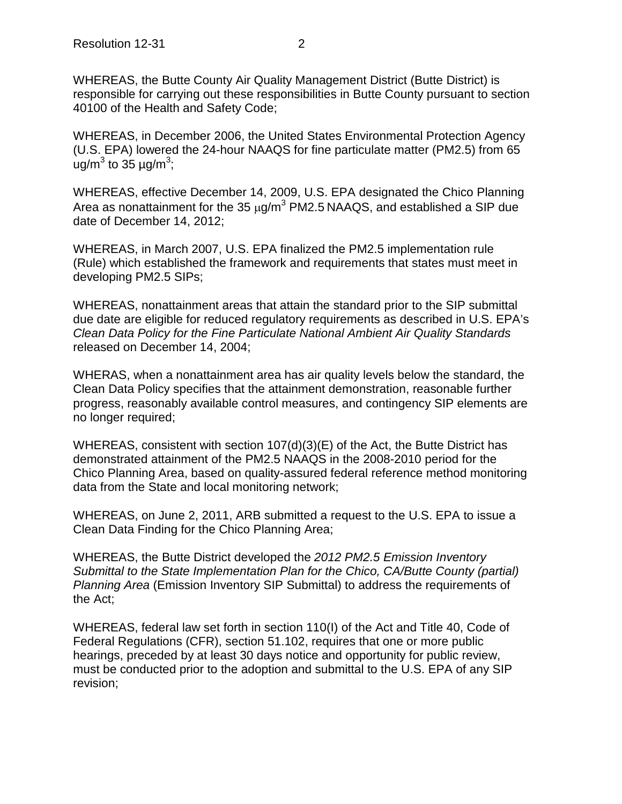WHEREAS, the Butte County Air Quality Management District (Butte District) is responsible for carrying out these responsibilities in Butte County pursuant to section 40100 of the Health and Safety Code;

WHEREAS, in December 2006, the United States Environmental Protection Agency (U.S. EPA) lowered the 24-hour NAAQS for fine particulate matter (PM2.5) from 65 ug/m<sup>3</sup> to 35  $\mu$ g/m<sup>3</sup>;

WHEREAS, effective December 14, 2009, U.S. EPA designated the Chico Planning Area as nonattainment for the 35  $\mu$ g/m<sup>3</sup> PM2.5 NAAQS, and established a SIP due date of December 14, 2012;

WHEREAS, in March 2007, U.S. EPA finalized the PM2.5 implementation rule (Rule) which established the framework and requirements that states must meet in developing PM2.5 SIPs;

WHEREAS, nonattainment areas that attain the standard prior to the SIP submittal due date are eligible for reduced regulatory requirements as described in U.S. EPA's *Clean Data Policy for the Fine Particulate National Ambient Air Quality Standards* released on December 14, 2004;

WHERAS, when a nonattainment area has air quality levels below the standard, the Clean Data Policy specifies that the attainment demonstration, reasonable further progress, reasonably available control measures, and contingency SIP elements are no longer required;

WHEREAS, consistent with section 107(d)(3)(E) of the Act, the Butte District has demonstrated attainment of the PM2.5 NAAQS in the 2008-2010 period for the Chico Planning Area, based on quality-assured federal reference method monitoring data from the State and local monitoring network;

WHEREAS, on June 2, 2011, ARB submitted a request to the U.S. EPA to issue a Clean Data Finding for the Chico Planning Area;

WHEREAS, the Butte District developed the *2012 PM2.5 Emission Inventory Submittal to the State Implementation Plan for the Chico, CA/Butte County (partial) Planning Area* (Emission Inventory SIP Submittal) to address the requirements of the Act;

WHEREAS, federal law set forth in section 110(I) of the Act and Title 40, Code of Federal Regulations (CFR), section 51.102, requires that one or more public hearings, preceded by at least 30 days notice and opportunity for public review, must be conducted prior to the adoption and submittal to the U.S. EPA of any SIP revision;